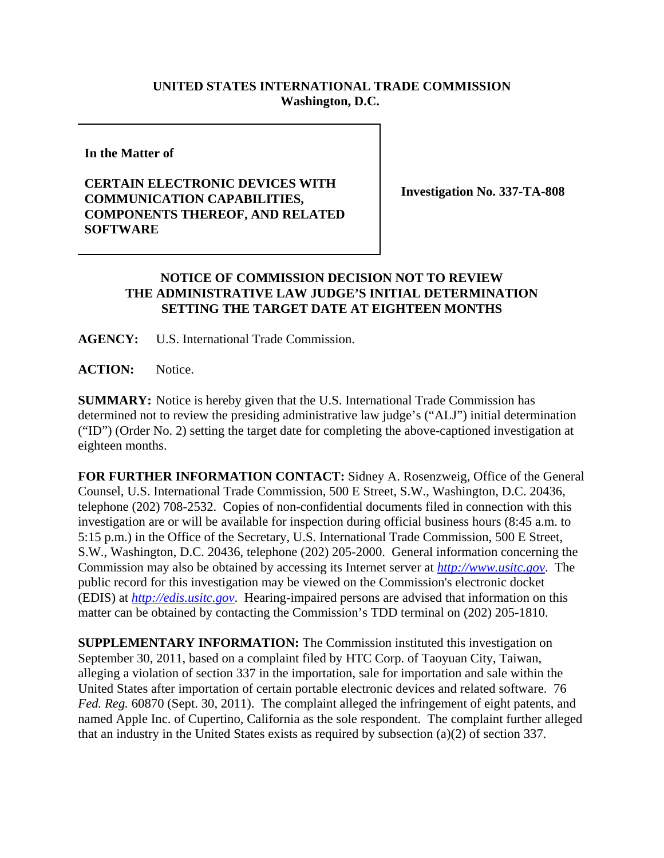## **UNITED STATES INTERNATIONAL TRADE COMMISSION Washington, D.C.**

**In the Matter of**

## **CERTAIN ELECTRONIC DEVICES WITH COMMUNICATION CAPABILITIES, COMPONENTS THEREOF, AND RELATED SOFTWARE**

**Investigation No. 337-TA-808**

## **NOTICE OF COMMISSION DECISION NOT TO REVIEW THE ADMINISTRATIVE LAW JUDGE'S INITIAL DETERMINATION SETTING THE TARGET DATE AT EIGHTEEN MONTHS**

**AGENCY:** U.S. International Trade Commission.

**ACTION:** Notice.

**SUMMARY:** Notice is hereby given that the U.S. International Trade Commission has determined not to review the presiding administrative law judge's ("ALJ") initial determination ("ID") (Order No. 2) setting the target date for completing the above-captioned investigation at eighteen months.

**FOR FURTHER INFORMATION CONTACT:** Sidney A. Rosenzweig, Office of the General Counsel, U.S. International Trade Commission, 500 E Street, S.W., Washington, D.C. 20436, telephone (202) 708-2532. Copies of non-confidential documents filed in connection with this investigation are or will be available for inspection during official business hours (8:45 a.m. to 5:15 p.m.) in the Office of the Secretary, U.S. International Trade Commission, 500 E Street, S.W., Washington, D.C. 20436, telephone (202) 205-2000. General information concerning the Commission may also be obtained by accessing its Internet server at *http://www.usitc.gov*. The public record for this investigation may be viewed on the Commission's electronic docket (EDIS) at *http://edis.usitc.gov*. Hearing-impaired persons are advised that information on this matter can be obtained by contacting the Commission's TDD terminal on (202) 205-1810.

**SUPPLEMENTARY INFORMATION:** The Commission instituted this investigation on September 30, 2011, based on a complaint filed by HTC Corp. of Taoyuan City, Taiwan, alleging a violation of section 337 in the importation, sale for importation and sale within the United States after importation of certain portable electronic devices and related software. 76 *Fed. Reg.* 60870 (Sept. 30, 2011). The complaint alleged the infringement of eight patents, and named Apple Inc. of Cupertino, California as the sole respondent. The complaint further alleged that an industry in the United States exists as required by subsection (a)(2) of section 337.